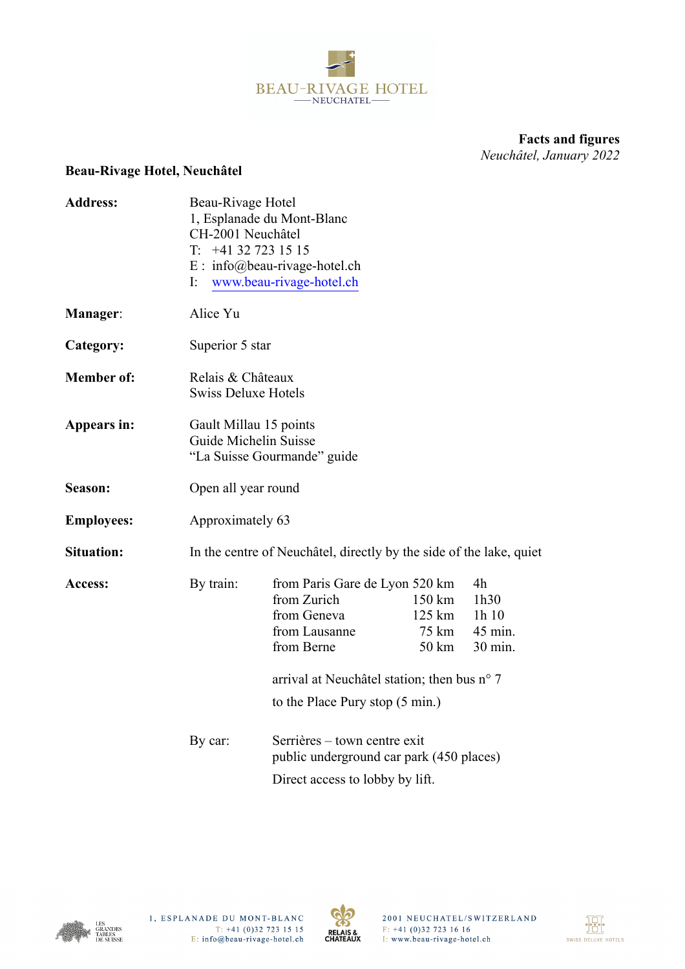

**Facts and figures**  *Neuchâtel, January 2022*

## **Beau-Rivage Hotel, Neuchâtel**

| <b>Address:</b>   | T.<br>I:  | Beau-Rivage Hotel<br>1, Esplanade du Mont-Blanc<br>CH-2001 Neuchâtel<br>+41 32 723 15 15<br>$E: info@beau-rivage-hotel.ch$<br>www.beau-rivage-hotel.ch                                  |                                    |                                          |  |  |  |
|-------------------|-----------|-----------------------------------------------------------------------------------------------------------------------------------------------------------------------------------------|------------------------------------|------------------------------------------|--|--|--|
| <b>Manager:</b>   | Alice Yu  |                                                                                                                                                                                         |                                    |                                          |  |  |  |
| Category:         |           | Superior 5 star                                                                                                                                                                         |                                    |                                          |  |  |  |
| <b>Member of:</b> |           | Relais & Châteaux<br><b>Swiss Deluxe Hotels</b>                                                                                                                                         |                                    |                                          |  |  |  |
| Appears in:       |           | Gault Millau 15 points<br>Guide Michelin Suisse<br>"La Suisse Gourmande" guide                                                                                                          |                                    |                                          |  |  |  |
| Season:           |           | Open all year round                                                                                                                                                                     |                                    |                                          |  |  |  |
| <b>Employees:</b> |           | Approximately 63                                                                                                                                                                        |                                    |                                          |  |  |  |
| <b>Situation:</b> |           | In the centre of Neuchâtel, directly by the side of the lake, quiet                                                                                                                     |                                    |                                          |  |  |  |
| <b>Access:</b>    | By train: | from Paris Gare de Lyon 520 km<br>from Zurich<br>from Geneva<br>from Lausanne<br>from Berne<br>arrival at Neuchâtel station; then bus n° 7<br>to the Place Pury stop $(5 \text{ min.})$ | 150 km<br>125 km<br>75 km<br>50 km | 4h<br>1h30<br>1h10<br>45 min.<br>30 min. |  |  |  |
|                   | By car:   | Serrières – town centre exit<br>public underground car park (450 places)<br>Direct access to lobby by lift.                                                                             |                                    |                                          |  |  |  |



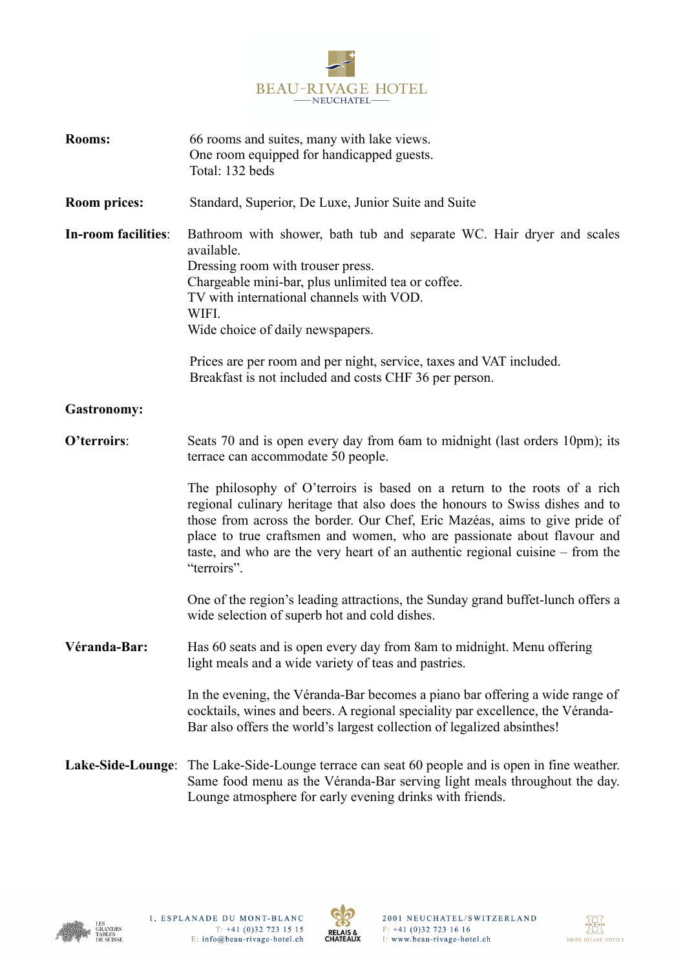

| <b>Rooms:</b>       | 66 rooms and suites, many with lake views.<br>One room equipped for handicapped guests.<br>Total: 132 beds                                                                                                                                                                                                                                                                                                        |  |  |
|---------------------|-------------------------------------------------------------------------------------------------------------------------------------------------------------------------------------------------------------------------------------------------------------------------------------------------------------------------------------------------------------------------------------------------------------------|--|--|
| <b>Room prices:</b> | Standard, Superior, De Luxe, Junior Suite and Suite                                                                                                                                                                                                                                                                                                                                                               |  |  |
| In-room facilities: | Bathroom with shower, bath tub and separate WC. Hair dryer and scales<br>available.<br>Dressing room with trouser press.<br>Chargeable mini-bar, plus unlimited tea or coffee.<br>TV with international channels with VOD.<br>WIFI.<br>Wide choice of daily newspapers.                                                                                                                                           |  |  |
|                     | Prices are per room and per night, service, taxes and VAT included.<br>Breakfast is not included and costs CHF 36 per person.                                                                                                                                                                                                                                                                                     |  |  |
| <b>Gastronomy:</b>  |                                                                                                                                                                                                                                                                                                                                                                                                                   |  |  |
| O'terroirs:         | Seats 70 and is open every day from 6am to midnight (last orders 10pm); its<br>terrace can accommodate 50 people.                                                                                                                                                                                                                                                                                                 |  |  |
|                     | The philosophy of O'terroirs is based on a return to the roots of a rich<br>regional culinary heritage that also does the honours to Swiss dishes and to<br>those from across the border. Our Chef, Eric Mazéas, aims to give pride of<br>place to true craftsmen and women, who are passionate about flavour and<br>taste, and who are the very heart of an authentic regional cuisine – from the<br>"terroirs". |  |  |
|                     | One of the region's leading attractions, the Sunday grand buffet-lunch offers a<br>wide selection of superb hot and cold dishes.                                                                                                                                                                                                                                                                                  |  |  |
| Véranda-Bar:        | Has 60 seats and is open every day from 8am to midnight. Menu offering<br>light meals and a wide variety of teas and pastries.                                                                                                                                                                                                                                                                                    |  |  |
|                     | In the evening, the Véranda-Bar becomes a piano bar offering a wide range of<br>cocktails, wines and beers. A regional speciality par excellence, the Véranda-<br>Bar also offers the world's largest collection of legalized absinthes!                                                                                                                                                                          |  |  |
|                     | <b>Lake-Side-Lounge:</b> The Lake-Side-Lounge terrace can seat 60 people and is open in fine weather.<br>Same food menu as the Véranda-Bar serving light meals throughout the day.<br>Lounge atmosphere for early evening drinks with friends.                                                                                                                                                                    |  |  |